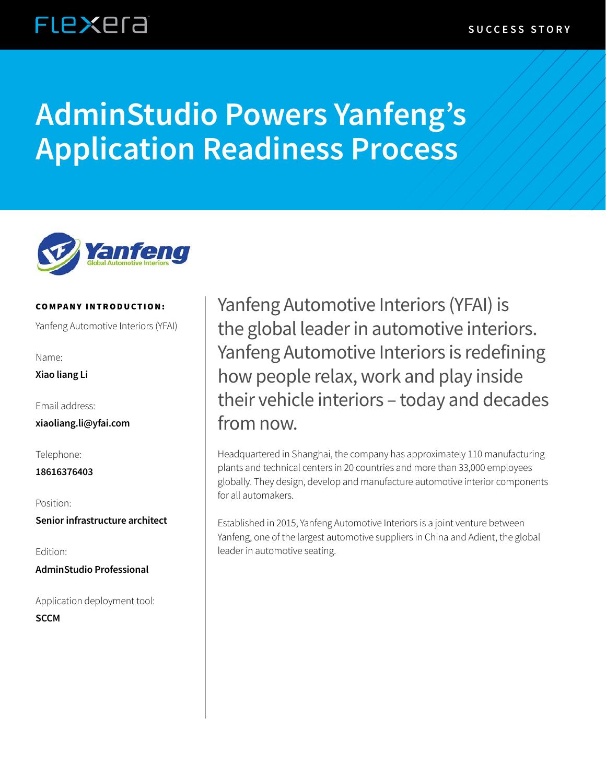### **FLEXEra**

# **AdminStudio Powers Yanfeng's Application Readiness Process**



#### COMPANY INTRODUCTION:

Yanfeng Automotive Interiors (YFAI)

Name:

**Xiao liang Li**

Email address:

**xiaoliang.li@yfai.com**

Telephone:

**18616376403**

Position:

**Senior infrastructure architect**

Edition:

**AdminStudio Professional**

Application deployment tool: **SCCM**

Yanfeng Automotive Interiors (YFAI) is the global leader in automotive interiors. Yanfeng Automotive Interiors is redefining how people relax, work and play inside their vehicle interiors – today and decades from now.

Headquartered in Shanghai, the company has approximately 110 manufacturing plants and technical centers in 20 countries and more than 33,000 employees globally. They design, develop and manufacture automotive interior components for all automakers.

Established in 2015, Yanfeng Automotive Interiors is a joint venture between Yanfeng, one of the largest automotive suppliers in China and Adient, the global leader in automotive seating.